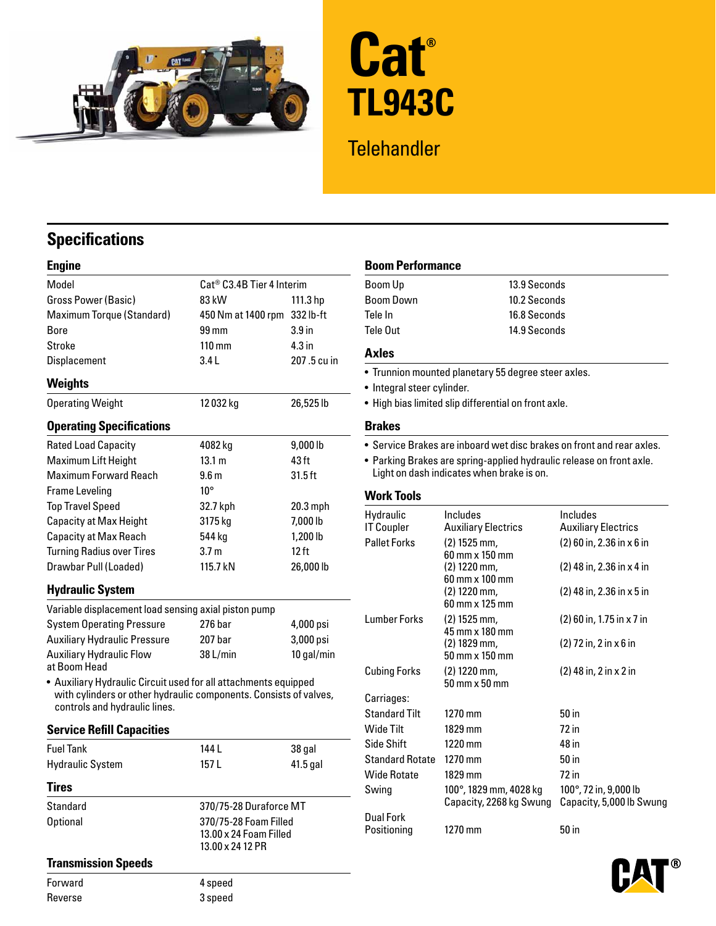



# **Telehandler**

## **Specifications**

| ۰ | ı      |  |
|---|--------|--|
|   | н<br>ı |  |
|   |        |  |

| Model                            | Cat <sup>®</sup> C3.4B Tier 4 Interim |                   | Boom Up                                                             |                                                     | 13.9 Seconds                                                        |  |
|----------------------------------|---------------------------------------|-------------------|---------------------------------------------------------------------|-----------------------------------------------------|---------------------------------------------------------------------|--|
| Gross Power (Basic)              | 83 kW                                 | 111.3 hp          | <b>Boom Down</b>                                                    |                                                     | 10.2 Seconds                                                        |  |
| Maximum Torque (Standard)        | 450 Nm at 1400 rpm                    | 332 lb-ft         | Tele In                                                             |                                                     | 16.8 Seconds                                                        |  |
| <b>Bore</b>                      | 99 mm                                 | 3.9 <sub>in</sub> | Tele Out                                                            |                                                     | 14.9 Seconds                                                        |  |
| Stroke                           | $110 \text{ mm}$                      | 4.3 <sub>in</sub> |                                                                     |                                                     |                                                                     |  |
| <b>Displacement</b>              | 3.4L                                  | 207.5 cu in       | <b>Axles</b>                                                        |                                                     |                                                                     |  |
| <b>Weights</b>                   |                                       |                   | • Integral steer cylinder.                                          | • Trunnion mounted planetary 55 degree steer axles. |                                                                     |  |
| <b>Operating Weight</b>          | 12032 kg                              | 26,525 lb         | . High bias limited slip differential on front axle.                |                                                     |                                                                     |  |
| <b>Operating Specifications</b>  |                                       |                   | <b>Brakes</b>                                                       |                                                     |                                                                     |  |
| <b>Rated Load Capacity</b>       | 4082 kg                               | 9,000 lb          |                                                                     |                                                     | • Service Brakes are inboard wet disc brakes on front and rear axle |  |
| Maximum Lift Height              | 13.1 m                                | 43 ft             | • Parking Brakes are spring-applied hydraulic release on front axle |                                                     |                                                                     |  |
| <b>Maximum Forward Reach</b>     | 9.6 <sub>m</sub>                      | $31.5$ ft         | Light on dash indicates when brake is on.                           |                                                     |                                                                     |  |
| <b>Frame Leveling</b>            | $10^{\circ}$                          |                   | <b>Work Tools</b>                                                   |                                                     |                                                                     |  |
| <b>Top Travel Speed</b>          | 32.7 kph                              | $20.3$ mph        |                                                                     |                                                     |                                                                     |  |
| <b>Capacity at Max Height</b>    | 3175 kg                               | 7,000 lb          | Hydraulic<br><b>IT Coupler</b>                                      | <b>Includes</b><br><b>Auxiliary Electrics</b>       | Includes<br><b>Auxiliary Electrics</b>                              |  |
| <b>Capacity at Max Reach</b>     | 544 kg                                | 1,200 lb          | <b>Pallet Forks</b>                                                 | $(2)$ 1525 mm,                                      | $(2)$ 60 in, 2.36 in x 6 in                                         |  |
| <b>Turning Radius over Tires</b> | 3.7 <sub>m</sub>                      | $12$ ft           |                                                                     | 60 mm x 150 mm                                      |                                                                     |  |
| Drawbar Pull (Loaded)            | 115.7 kN                              | 26,000 lb         |                                                                     | (2) 1220 mm,<br>60 mm x 100 mm                      | $(2)$ 48 in, 2.36 in x 4 in                                         |  |

### **Hydraulic System**

| Variable displacement load sensing axial piston pump |                      | Lumber Forks | 60 mm x 125 mm                   |                                       |                          |
|------------------------------------------------------|----------------------|--------------|----------------------------------|---------------------------------------|--------------------------|
| <b>System Operating Pressure</b>                     | 4,000 psi<br>276 bar |              | $(2)$ 1525 mm.<br>45 mm x 180 mm | $(2)$ 60 in, 1.75 in x 7              |                          |
| <b>Auxiliary Hydraulic Pressure</b>                  | 207 bar              | $3,000$ psi  |                                  | $(2)$ 1829 mm.                        | $(2)$ 72 in, 2 in x 6 in |
| Auxiliary Hydraulic Flow<br>المممللسمم ملباته        | 38 L/min             | 10 gal/min   |                                  | $50 \text{ mm} \times 150 \text{ mm}$ |                          |

### **Service Refill Capacities**

| <b>Fuel Tank</b>        | 144 L                                                               | 38 gal                 | Side Shift<br><b>Standard Rotate</b> | $1220$ mm<br>$1270$ mm  | 48 in<br>50 in        |
|-------------------------|---------------------------------------------------------------------|------------------------|--------------------------------------|-------------------------|-----------------------|
| <b>Hydraulic System</b> | 157 L                                                               | $41.5$ gal             | <b>Wide Rotate</b>                   | 1829 mm                 | 72 in                 |
| <b>Tires</b>            |                                                                     |                        | Swing                                | 100°, 1829 mm, 4028 kg  | 100°, 72 in, 9,000 lb |
| Standard                |                                                                     | 370/75-28 Duraforce MT |                                      | Capacity, 2268 kg Swung | Capacity, 5,000 lb S  |
| Optional                | 370/75-28 Foam Filled<br>13.00 x 24 Foam Filled<br>13.00 x 24 12 PR |                        | <b>Dual Fork</b><br>Positioning      | $1270$ mm               | 50 in                 |

### **Transmission Speeds**

Forward 4 speed Reverse 3 speed

### **Example Boom Performance**

| Boom Up   | 13.9 Seconds |
|-----------|--------------|
| Boom Down | 10.2 Seconds |
| Tele In   | 16.8 Seconds |
| Tele Out  | 14.9 Seconds |

- Trunnion mounted planetary 55 degree steer axles.
- Integral steer cylinder.
- High bias limited slip differential on front axle.

- Service Brakes are inboard wet disc brakes on front and rear axles.
- Parking Brakes are spring-applied hydraulic release on front axle. Light on dash indicates when brake is on.

### **Work Tools**

| Top Travel Speed                                                  | 32.7 kph                                        | 20.3 mph             |                        |                                           |                             |
|-------------------------------------------------------------------|-------------------------------------------------|----------------------|------------------------|-------------------------------------------|-----------------------------|
| Capacity at Max Height                                            | 3175 kg                                         | 7,000 lb             | Hydraulic              | <b>Includes</b>                           | <b>Includes</b>             |
| Capacity at Max Reach                                             | 544 kg                                          | 1,200 lb             | <b>IT Coupler</b>      | <b>Auxiliary Electrics</b>                | <b>Auxiliary Electrics</b>  |
| <b>Turning Radius over Tires</b>                                  | 3.7 <sub>m</sub>                                | $12$ ft              | <b>Pallet Forks</b>    | $(2)$ 1525 mm,<br>$60$ mm $\times$ 150 mm | $(2)$ 60 in, 2.36 in x 6 in |
| Drawbar Pull (Loaded)                                             | 115.7 kN                                        | 26,000 lb            |                        | $(2)$ 1220 mm,<br>60 mm x 100 mm          | (2) 48 in, 2.36 in x 4 in   |
| <b>Hydraulic System</b>                                           |                                                 |                      |                        | $(2)$ 1220 mm,                            | $(2)$ 48 in, 2.36 in x 5 in |
| Variable displacement load sensing axial piston pump              |                                                 |                      |                        | $60$ mm $\times$ 125 mm                   |                             |
| <b>System Operating Pressure</b>                                  | 276 bar                                         | 4,000 psi            | <b>Lumber Forks</b>    | $(2)$ 1525 mm,<br>45 mm x 180 mm          | (2) 60 in, 1.75 in x 7 in   |
| <b>Auxiliary Hydraulic Pressure</b>                               | 207 bar                                         | 3,000 psi            |                        | $(2)$ 1829 mm,                            | $(2)$ 72 in, 2 in x 6 in    |
| Auxiliary Hydraulic Flow                                          | 38 L/min                                        | 10 gal/min           |                        | 50 mm x 150 mm                            |                             |
| at Boom Head                                                      |                                                 |                      | <b>Cubing Forks</b>    | $(2)$ 1220 mm,                            | $(2)$ 48 in, 2 in x 2 in    |
| • Auxiliary Hydraulic Circuit used for all attachments equipped   |                                                 |                      |                        | 50 mm x 50 mm                             |                             |
| with cylinders or other hydraulic components. Consists of valves, |                                                 |                      | Carriages:             |                                           |                             |
| controls and hydraulic lines.                                     |                                                 | <b>Standard Tilt</b> | 1270 mm                | $50$ in                                   |                             |
| <b>Service Refill Capacities</b>                                  |                                                 |                      | Wide Tilt              | 1829 mm                                   | 72 in                       |
| Fuel Tank                                                         | 144 L                                           | 38 gal               | Side Shift             | 1220 mm                                   | 48 in                       |
| Hydraulic System                                                  | 157 L                                           | 41.5 gal             | <b>Standard Rotate</b> | 1270 mm                                   | 50 <sub>in</sub>            |
|                                                                   |                                                 |                      | <b>Wide Rotate</b>     | 1829 mm                                   | 72 in                       |
| Tires                                                             |                                                 |                      | Swing                  | 100°, 1829 mm, 4028 kg                    | 100°, 72 in, 9,000 lb       |
| <b>Standard</b>                                                   | 370/75-28 Duraforce MT                          |                      |                        | Capacity, 2268 kg Swung                   | Capacity, 5,000 lb Swung    |
| <b>Optional</b>                                                   | 370/75-28 Foam Filled<br>13.00 x 24 Foam Filled |                      | <b>Dual Fork</b>       |                                           |                             |
|                                                                   |                                                 |                      | Positioning            | 1270 mm                                   | 50 <sub>in</sub>            |